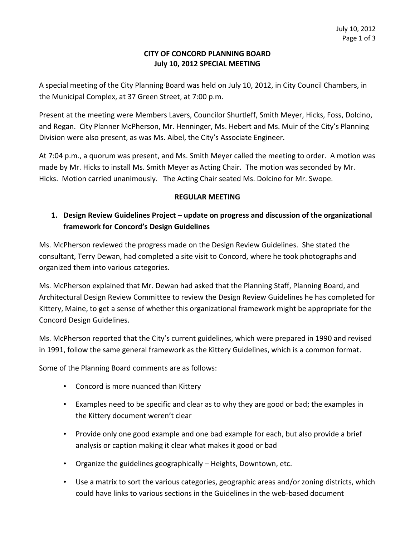## **CITY OF CONCORD PLANNING BOARD July 10, 2012 SPECIAL MEETING**

A special meeting of the City Planning Board was held on July 10, 2012, in City Council Chambers, in the Municipal Complex, at 37 Green Street, at 7:00 p.m.

Present at the meeting were Members Lavers, Councilor Shurtleff, Smith Meyer, Hicks, Foss, Dolcino, and Regan. City Planner McPherson, Mr. Henninger, Ms. Hebert and Ms. Muir of the City's Planning. Division were also present, as was Ms. Aibel, the City's Associate Engineer.

At 7:04 p.m., a quorum was present, and Ms. Smith Meyer called the meeting to order. A motion was made by Mr. Hicks to install Ms. Smith Meyer as Acting Chair. The motion was seconded by Mr. Hicks. Motion carried unanimously. The Acting Chair seated Ms. Dolcino for Mr. Swope.

## **REGULAR MEETING**

## **1. Design Review Guidelines Project – update on progress and discussion of the organizational framework for Concord's Design Guidelines**

Ms. McPherson reviewed the progress made on the Design Review Guidelines. She stated the consultant, Terry Dewan, had completed a site visit to Concord, where he took photographs and organized them into various categories.

Ms. McPherson explained that Mr. Dewan had asked that the Planning Staff, Planning Board, and Architectural Design Review Committee to review the Design Review Guidelines he has completed for Kittery, Maine, to get a sense of whether this organizational framework might be appropriate for the Concord Design Guidelines.

Ms. McPherson reported that the City's current guidelines, which were prepared in 1990 and revised. in 1991, follow the same general framework as the Kittery Guidelines, which is a common format.

Some of the Planning Board comments are as follows:

- Concord is more nuanced than Kittery
- Examples need to be specific and clear as to why they are good or bad; the examples in the Kittery document weren't clear
- Provide only one good example and one bad example for each, but also provide a brief analysis or caption making it clear what makes it good or bad
- Organize the guidelines geographically Heights, Downtown, etc.
- Use a matrix to sort the various categories, geographic areas and/or zoning districts, which could have links to various sections in the Guidelines in the web-based document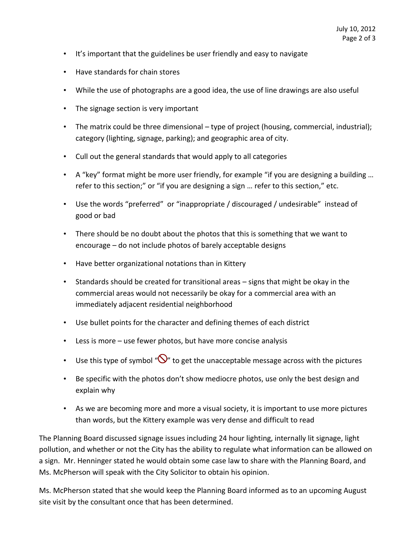- It's important that the guidelines be user friendly and easy to navigate
- Have standards for chain stores
- While the use of photographs are a good idea, the use of line drawings are also useful
- The signage section is very important
- The matrix could be three dimensional type of project (housing, commercial, industrial); category (lighting, signage, parking); and geographic area of city.
- Cull out the general standards that would apply to all categories
- A "key" format might be more user friendly, for example "if you are designing a building... refer to this section;" or "if you are designing a sign ... refer to this section," etc.
- Use the words "preferred" or "inappropriate / discouraged / undesirable" instead of good or bad
- There should be no doubt about the photos that this is something that we want to encourage – do not include photos of barely acceptable designs
- Have better organizational notations than in Kittery
- Standards should be created for transitional areas signs that might be okay in the commercial areas would not necessarily be okay for a commercial area with an immediately adjacent residential neighborhood
- Use bullet points for the character and defining themes of each district
- Less is more use fewer photos, but have more concise analysis
- Use this type of symbol " $\bigcirc$ " to get the unacceptable message across with the pictures
- Be specific with the photos don't show mediocre photos, use only the best design and explain why
- As we are becoming more and more a visual society, it is important to use more pictures than words, but the Kittery example was very dense and difficult to read

The Planning Board discussed signage issues including 24 hour lighting, internally lit signage, light pollution, and whether or not the City has the ability to regulate what information can be allowed on a sign. Mr. Henninger stated he would obtain some case law to share with the Planning Board, and Ms. McPherson will speak with the City Solicitor to obtain his opinion.

Ms. McPherson stated that she would keep the Planning Board informed as to an upcoming August site visit by the consultant once that has been determined.